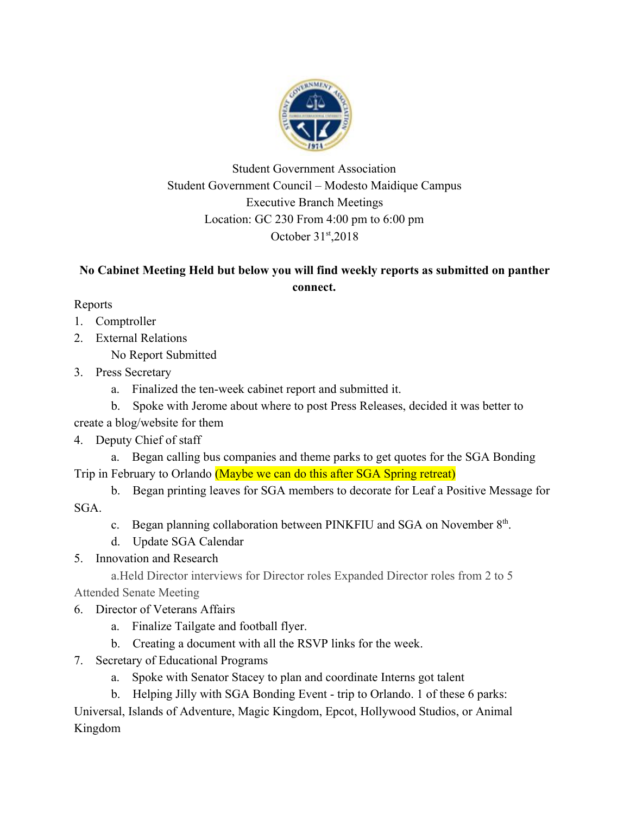

Student Government Association Student Government Council – Modesto Maidique Campus Executive Branch Meetings Location: GC 230 From 4:00 pm to 6:00 pm October 31st, 2018

## **No Cabinet Meeting Held but below you will find weekly reports as submitted on panther connect.**

Reports

- 1. Comptroller
- 2. External Relations
	- No Report Submitted
- 3. Press Secretary
	- a. Finalized the ten-week cabinet report and submitted it.
	- b. Spoke with Jerome about where to post Press Releases, decided it was better to

create a blog/website for them

## 4. Deputy Chief of staff

- a. Began calling bus companies and theme parks to get quotes for the SGA Bonding Trip in February to Orlando (Maybe we can do this after SGA Spring retreat)
- b. Began printing leaves for SGA members to decorate for Leaf a Positive Message for SGA.
	- c. Began planning collaboration between PINKFIU and SGA on November 8<sup>th</sup>.
	- d. Update SGA Calendar
- 5. Innovation and Research

a.Held Director interviews for Director roles Expanded Director roles from 2 to 5 Attended Senate Meeting

- 6. Director of Veterans Affairs
	- a. Finalize Tailgate and football flyer.
	- b. Creating a document with all the RSVP links for the week.
- 7. Secretary of Educational Programs
	- a. Spoke with Senator Stacey to plan and coordinate Interns got talent
	- b. Helping Jilly with SGA Bonding Event trip to Orlando. 1 of these 6 parks:

Universal, Islands of Adventure, Magic Kingdom, Epcot, Hollywood Studios, or Animal Kingdom